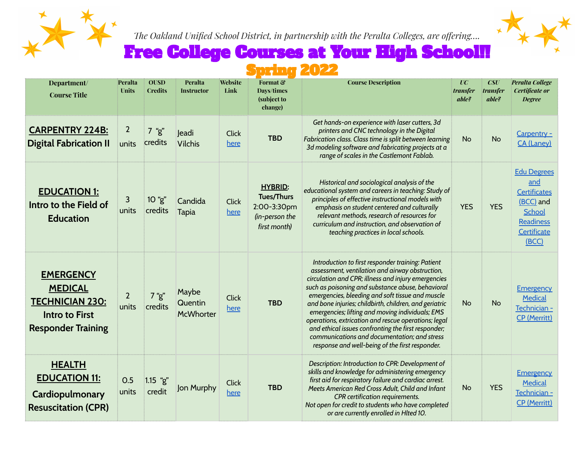

*The Oakland Unified School District, in partnership with the Peralta Colleges, are offering….*



# Free College Courses at Your High School!!

### Spring 2022

| Department/<br><b>Course Title</b>                                                                                 | Peralta<br><b>Units</b> | <b>OUSD</b><br><b>Credits</b> | Peralta<br><b>Instructor</b>  | Website<br>Link      | Format &<br>Days/times<br>(subject to<br>change)                                     | <b>Course Description</b>                                                                                                                                                                                                                                                                                                                                                                                                                                                                                                                                                                            | $\overline{UC}$<br><i>transfer</i><br>able? | CSU<br>transfer<br>able? | <b>Peralta College</b><br>Certificate or<br><b>Degree</b>                                                           |
|--------------------------------------------------------------------------------------------------------------------|-------------------------|-------------------------------|-------------------------------|----------------------|--------------------------------------------------------------------------------------|------------------------------------------------------------------------------------------------------------------------------------------------------------------------------------------------------------------------------------------------------------------------------------------------------------------------------------------------------------------------------------------------------------------------------------------------------------------------------------------------------------------------------------------------------------------------------------------------------|---------------------------------------------|--------------------------|---------------------------------------------------------------------------------------------------------------------|
| <b>CARPENTRY 224B:</b><br><b>Digital Fabrication II</b>                                                            | $\overline{2}$<br>units | $7$ "g"<br>credits            | Jeadi<br><b>Vilchis</b>       | <b>Click</b><br>here | <b>TBD</b>                                                                           | Get hands-on experience with laser cutters, 3d<br>printers and CNC technology in the Digital<br>Fabrication class. Class time is split between learning<br>3d modeling software and fabricating projects at a<br>range of scales in the Castlemont Fablab.                                                                                                                                                                                                                                                                                                                                           | <b>No</b>                                   | <b>No</b>                | Carpentry -<br><b>CA</b> (Laney)                                                                                    |
| <b>EDUCATION 1:</b><br>Intro to the Field of<br><b>Education</b>                                                   | 3<br>units              | 10 "g"<br>credits             | Candida<br>Tapia              | Click<br>here        | <b>HYBRID:</b><br><b>Tues/Thurs</b><br>2:00-3:30pm<br>(in-person the<br>first month) | Historical and sociological analysis of the<br>educational system and careers in teaching: Study of<br>principles of effective instructional models with<br>emphasis on student centered and culturally<br>relevant methods, research of resources for<br>curriculum and instruction, and observation of<br>teaching practices in local schools.                                                                                                                                                                                                                                                     | <b>YES</b>                                  | <b>YES</b>               | <b>Edu Degrees</b><br>and<br><b>Certificates</b><br>(BCC) and<br>School<br><b>Readiness</b><br>Certificate<br>(BCC) |
| <b>EMERGENCY</b><br><b>MEDICAL</b><br><b>TECHNICIAN 230:</b><br><b>Intro to First</b><br><b>Responder Training</b> | $\overline{2}$<br>units | 7 "g"<br>credits              | Maybe<br>Quentin<br>McWhorter | <b>Click</b><br>here | <b>TBD</b>                                                                           | Introduction to first responder training: Patient<br>assessment, ventilation and airway obstruction,<br>circulation and CPR; illness and injury emergencies<br>such as poisoning and substance abuse, behavioral<br>emergencies, bleeding and soft tissue and muscle<br>and bone injuries; childbirth, children, and geriatric<br>emergencies; lifting and moving individuals; EMS<br>operations, extrication and rescue operations; legal<br>and ethical issues confronting the first responder;<br>communications and documentation; and stress<br>response and well-being of the first responder. | <b>No</b>                                   | <b>No</b>                | <b>Emergency</b><br>Medical<br>Technician -<br><b>CP</b> (Merritt)                                                  |
| <b>HEALTH</b><br><b>EDUCATION 11:</b><br>Cardiopulmonary<br><b>Resuscitation (CPR)</b>                             | 0.5<br>units            | $1.15$ "g"<br>credit          | Jon Murphy                    | <b>Click</b><br>here | <b>TBD</b>                                                                           | Description: Introduction to CPR: Development of<br>skills and knowledge for administering emergency<br>first aid for respiratory failure and cardiac arrest.<br>Meets American Red Cross Adult, Child and Infant<br><b>CPR</b> certification requirements.<br>Not open for credit to students who have completed<br>or are currently enrolled in Hlted 10.                                                                                                                                                                                                                                          | <b>No</b>                                   | <b>YES</b>               | <b>Emergency</b><br><b>Medical</b><br>Technician -<br><b>CP</b> (Merritt)                                           |